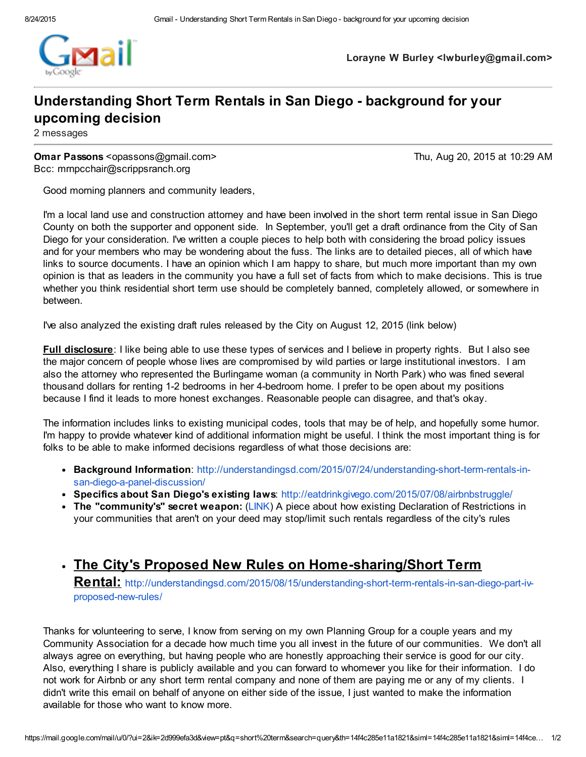

Lorayne W Burley <lwburley@gmail.com>

## Understanding Short Term Rentals in San Diego - background for your upcoming decision

2 messages

Omar Passons <opassons@gmail.com> Thu, Aug 20, 2015 at 10:29 AM Bcc: mrnpcchair@scrippsranch.org

Good morning planners and community leaders,

I'm a local land use and construction attorney and have been involved in the short term rental issue in San Diego County on both the supporter and opponent side. In September, you'll get a draft ordinance from the City of San Diego for your consideration. I've written a couple pieces to help both with considering the broad policy issues and for your members who may be wondering about the fuss. The links are to detailed pieces, all of which have links to source documents. I have an opinion which I am happy to share, but much more important than my own opinion is that as leaders in the community you have a full set of facts from which to make decisions. This is true whether you think residential short term use should be completely banned, completely allowed, or somewhere in between.

I've also analyzed the existing draft rules released by the City on August 12, 2015 (link below)

**Full disclosure**: I like being able to use these types of services and I believe in property rights. But I also see the major concern of people whose lives are compromised by wild parties or large institutional investors. I am also the attorney who represented the Burlingame woman (a community in North Park) who was fined several thousand dollars for renting 1-2 bedrooms in her 4-bedroom home. I prefer to be open about my positions because I find it leads to more honest exchanges. Reasonable people can disagree, and that's okay.

The information includes links to existing municipal codes, tools that may be of help, and hopefully some humor. I'm happy to provide whatever kind of additional information might be useful. I think the most important thing is for folks to be able to make informed decisions regardless of what those decisions are:

- Background Information: [http://understandingsd.com/2015/07/24/understanding-short-term-rentals-in](http://understandingsd.com/2015/07/24/understanding-short-term-rentals-in-san-diego-a-panel-discussion/)san-diego-a-panel-discussion/
- Specifics about San Diego's existing laws: <http://eatdrinkgivego.com/2015/07/08/airbnbstruggle/>
- $\bullet$  The "community's" secret weapon: ([LINK](http://understandingsd.com/2015/07/28/understanding-short-term-rentals-in-san-diego-pt-ii-the-communitys-secret-weapon/)) A piece about how existing Declaration of Restrictions in your communities that aren't on your deed may stop/limit such rentals regardless of the city's rules
- . The City's Proposed New Rules on Home-sharing/Short Term Rental: [http://understandingsd.com/2015/08/15/understanding-short-term-rentals-in-san-diego-part-iv](http://understandingsd.com/2015/08/15/understanding-short-term-rentals-in-san-diego-part-iv-proposed-new-rules/)proposed-new-rules/

Thanks for volunteering to serve, I know from serving on my own Planning Group for a couple years and my Community Association for a decade how much time you all invest in the future of our communities. We don't all always agree on everything, but having people who are honestly approaching their service is good for our city. Also, everything I share is publicly available and you can forward to whomever you like for their information. I do not work for Airbnb or any short term rental company and none of them are paying me or any of my clients. I didn't write this email on behalf of anyone on either side of the issue, I just wanted to make the information available for those who want to know more.